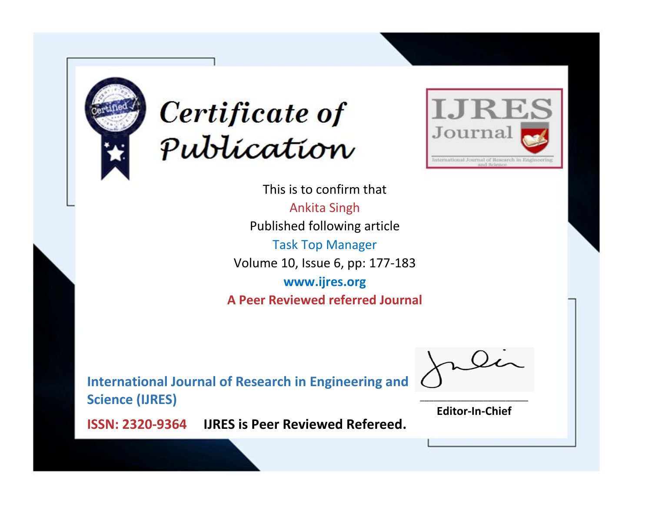



This is to confirm that Ankita Singh Published following article Task Top Manager Volume 10, Issue 6, pp: 177-183 **www.ijres.org A Peer Reviewed referred Journal**

**International Journal of Research in Engineering and Science (IJRES)**

\_\_\_\_\_\_\_\_\_\_\_\_\_\_\_\_\_\_\_\_\_\_\_\_ **Editor-In-Chief**

**Journal.**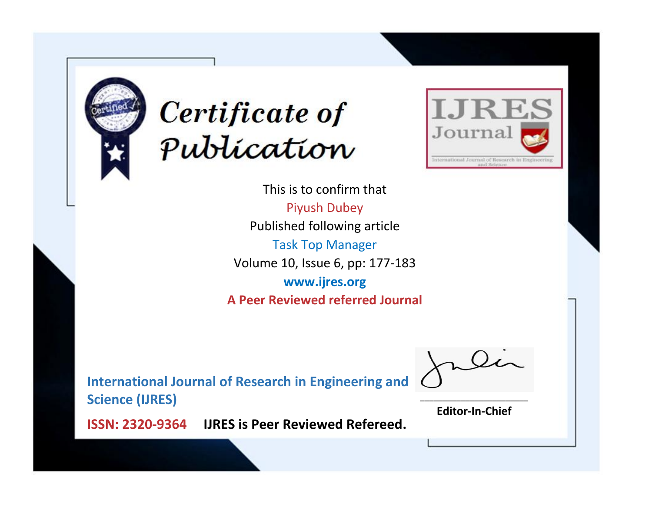



This is to confirm that Piyush Dubey Published following article Task Top Manager Volume 10, Issue 6, pp: 177-183 **www.ijres.org A Peer Reviewed referred Journal**

**International Journal of Research in Engineering and Science (IJRES)**

\_\_\_\_\_\_\_\_\_\_\_\_\_\_\_\_\_\_\_\_\_\_\_\_ **Editor-In-Chief**

**Journal.**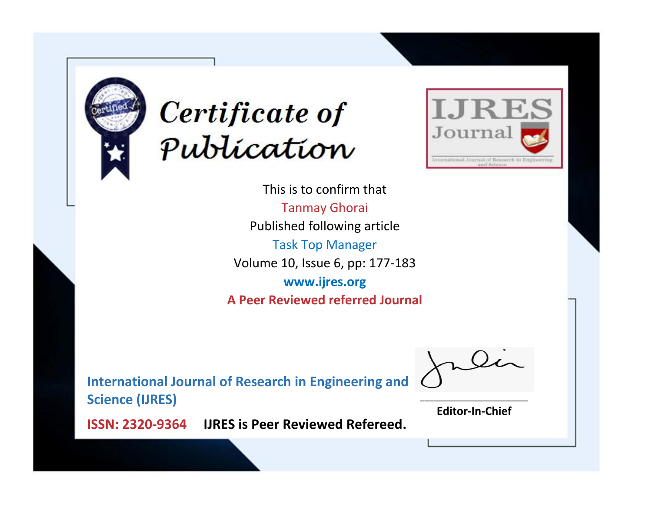



This is to confirm that Tanmay Ghorai Published following article Task Top Manager Volume 10, Issue 6, pp: 177-183 **www.ijres.org A Peer Reviewed referred Journal**

**International Journal of Research in Engineering and Science (IJRES)**

\_\_\_\_\_\_\_\_\_\_\_\_\_\_\_\_\_\_\_\_\_\_\_\_ **Editor-In-Chief**

**Journal.**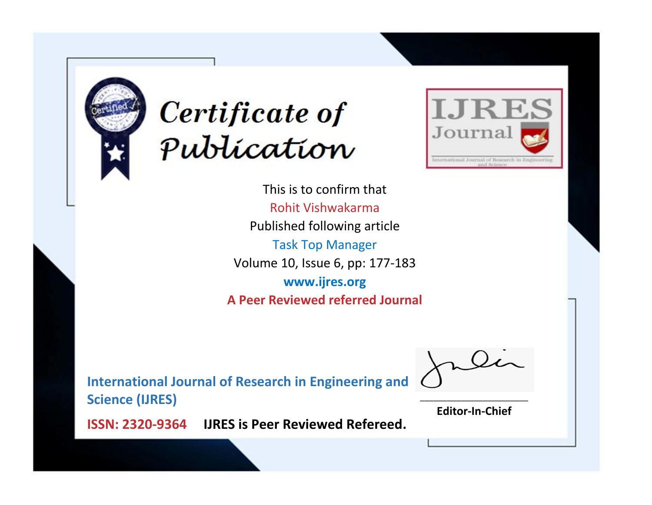



This is to confirm that Rohit Vishwakarma Published following article Task Top Manager Volume 10, Issue 6, pp: 177-183 **www.ijres.org A Peer Reviewed referred Journal**

**International Journal of Research in Engineering and Science (IJRES)**

\_\_\_\_\_\_\_\_\_\_\_\_\_\_\_\_\_\_\_\_\_\_\_\_ **Editor-In-Chief**

**Journal.**